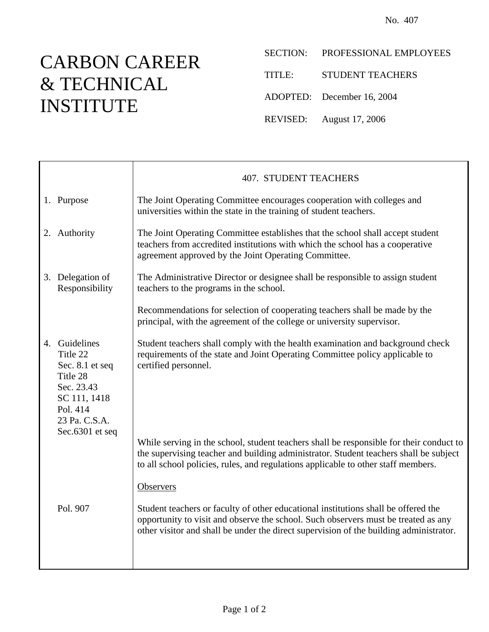## CARBON CAREER & TECHNICAL INSTITUTE

- SECTION: PROFESSIONAL EMPLOYEES
- TITLE: STUDENT TEACHERS
- ADOPTED: December 16, 2004
- REVISED: August 17, 2006

|  |                                                                                                                                        | <b>407. STUDENT TEACHERS</b>                                                                                                                                                                                                                                          |  |  |
|--|----------------------------------------------------------------------------------------------------------------------------------------|-----------------------------------------------------------------------------------------------------------------------------------------------------------------------------------------------------------------------------------------------------------------------|--|--|
|  | 1. Purpose                                                                                                                             | The Joint Operating Committee encourages cooperation with colleges and<br>universities within the state in the training of student teachers.                                                                                                                          |  |  |
|  | 2. Authority                                                                                                                           | The Joint Operating Committee establishes that the school shall accept student<br>teachers from accredited institutions with which the school has a cooperative<br>agreement approved by the Joint Operating Committee.                                               |  |  |
|  | 3. Delegation of<br>Responsibility                                                                                                     | The Administrative Director or designee shall be responsible to assign student<br>teachers to the programs in the school.                                                                                                                                             |  |  |
|  |                                                                                                                                        | Recommendations for selection of cooperating teachers shall be made by the<br>principal, with the agreement of the college or university supervisor.                                                                                                                  |  |  |
|  | 4. Guidelines<br>Title 22<br>Sec. 8.1 et seq<br>Title 28<br>Sec. 23.43<br>SC 111, 1418<br>Pol. 414<br>23 Pa. C.S.A.<br>Sec.6301 et seq | Student teachers shall comply with the health examination and background check<br>requirements of the state and Joint Operating Committee policy applicable to<br>certified personnel.                                                                                |  |  |
|  |                                                                                                                                        | While serving in the school, student teachers shall be responsible for their conduct to<br>the supervising teacher and building administrator. Student teachers shall be subject<br>to all school policies, rules, and regulations applicable to other staff members. |  |  |
|  |                                                                                                                                        | <b>Observers</b>                                                                                                                                                                                                                                                      |  |  |
|  | Pol. 907                                                                                                                               | Student teachers or faculty of other educational institutions shall be offered the<br>opportunity to visit and observe the school. Such observers must be treated as any<br>other visitor and shall be under the direct supervision of the building administrator.    |  |  |
|  |                                                                                                                                        |                                                                                                                                                                                                                                                                       |  |  |